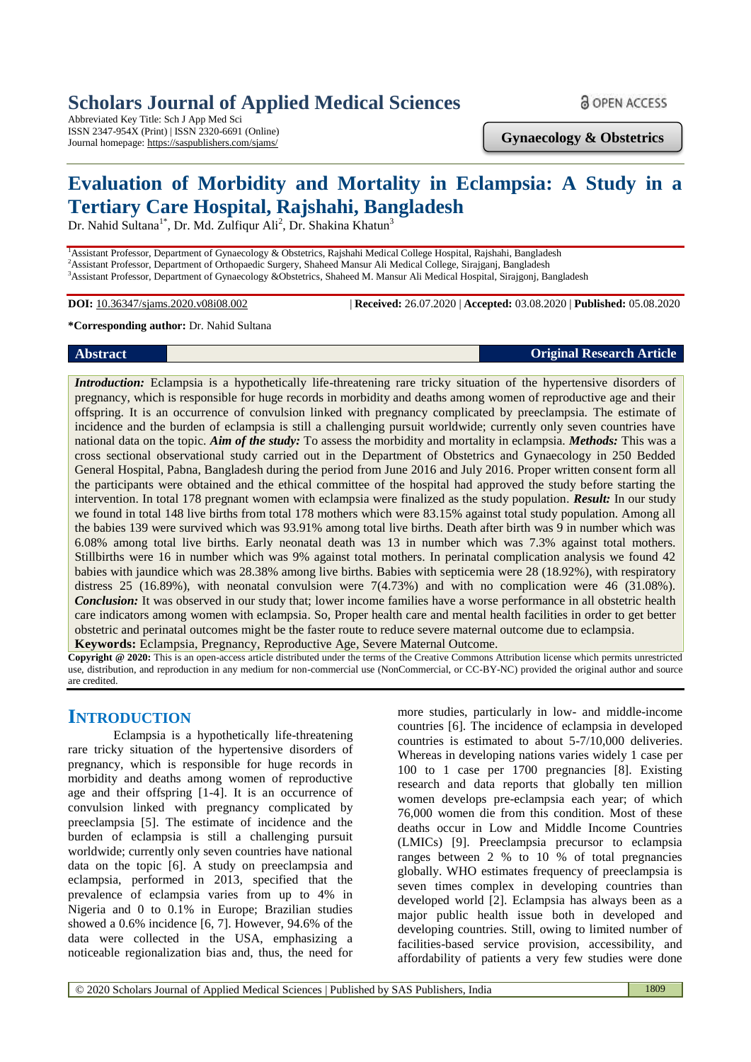## **Scholars Journal of Applied Medical Sciences**

Abbreviated Key Title: Sch J App Med Sci ISSN 2347-954X (Print) | ISSN 2320-6691 (Online) Journal homepage: https://saspublishers.com/sjams/

**Gynaecology & Obstetrics**

# **Evaluation of Morbidity and Mortality in Eclampsia: A Study in a Tertiary Care Hospital, Rajshahi, Bangladesh**

Dr. Nahid Sultana<sup>1\*</sup>, Dr. Md. Zulfiqur Ali<sup>2</sup>, Dr. Shakina Khatun<sup>3</sup>

<sup>1</sup>Assistant Professor, Department of Gynaecology & Obstetrics, Rajshahi Medical College Hospital, Rajshahi, Bangladesh <sup>2</sup>Assistant Professor, Department of Orthopaedic Surgery, Shaheed Mansur Ali Medical College, Sirajganj, Bangladesh <sup>3</sup>Assistant Professor, Department of Gynaecology &Obstetrics, Shaheed M. Mansur Ali Medical Hospital, Sirajgonj, Bangladesh

**DOI:** 10.36347/sjams.2020.v08i08.002 | **Received:** 26.07.2020 | **Accepted:** 03.08.2020 | **Published:** 05.08.2020

**\*Corresponding author:** Dr. Nahid Sultana

#### **Abstract Original Research Article**

*Introduction:* Eclampsia is a hypothetically life-threatening rare tricky situation of the hypertensive disorders of pregnancy, which is responsible for huge records in morbidity and deaths among women of reproductive age and their offspring. It is an occurrence of convulsion linked with pregnancy complicated by preeclampsia. The estimate of incidence and the burden of eclampsia is still a challenging pursuit worldwide; currently only seven countries have national data on the topic. *Aim of the study:* To assess the morbidity and mortality in eclampsia. *Methods:* This was a cross sectional observational study carried out in the Department of Obstetrics and Gynaecology in 250 Bedded General Hospital, Pabna, Bangladesh during the period from June 2016 and July 2016. Proper written consent form all the participants were obtained and the ethical committee of the hospital had approved the study before starting the intervention. In total 178 pregnant women with eclampsia were finalized as the study population*. Result:* In our study we found in total 148 live births from total 178 mothers which were 83.15% against total study population. Among all the babies 139 were survived which was 93.91% among total live births. Death after birth was 9 in number which was 6.08% among total live births. Early neonatal death was 13 in number which was 7.3% against total mothers. Stillbirths were 16 in number which was 9% against total mothers. In perinatal complication analysis we found 42 babies with jaundice which was 28.38% among live births. Babies with septicemia were 28 (18.92%), with respiratory distress 25 (16.89%), with neonatal convulsion were 7(4.73%) and with no complication were 46 (31.08%). *Conclusion:* It was observed in our study that; lower income families have a worse performance in all obstetric health care indicators among women with eclampsia. So, Proper health care and mental health facilities in order to get better obstetric and perinatal outcomes might be the faster route to reduce severe maternal outcome due to eclampsia.

**Keywords:** Eclampsia, Pregnancy, Reproductive Age, Severe Maternal Outcome.

**Copyright @ 2020:** This is an open-access article distributed under the terms of the Creative Commons Attribution license which permits unrestricted use, distribution, and reproduction in any medium for non-commercial use (NonCommercial, or CC-BY-NC) provided the original author and source are credited.

### **INTRODUCTION**

Eclampsia is a hypothetically life-threatening rare tricky situation of the hypertensive disorders of pregnancy, which is responsible for huge records in morbidity and deaths among women of reproductive age and their offspring [1-4]. It is an occurrence of convulsion linked with pregnancy complicated by preeclampsia [5]. The estimate of incidence and the burden of eclampsia is still a challenging pursuit worldwide; currently only seven countries have national data on the topic [6]. A study on preeclampsia and eclampsia, performed in 2013, specified that the prevalence of eclampsia varies from up to 4% in Nigeria and 0 to 0.1% in Europe; Brazilian studies showed a 0.6% incidence [6, 7]. However, 94.6% of the data were collected in the USA, emphasizing a noticeable regionalization bias and, thus, the need for more studies, particularly in low- and middle-income countries [6]. The incidence of eclampsia in developed countries is estimated to about 5-7/10,000 deliveries. Whereas in developing nations varies widely 1 case per 100 to 1 case per 1700 pregnancies [8]. Existing research and data reports that globally ten million women develops pre-eclampsia each year; of which 76,000 women die from this condition. Most of these deaths occur in Low and Middle Income Countries (LMICs) [9]. Preeclampsia precursor to eclampsia ranges between 2 % to 10 % of total pregnancies globally. WHO estimates frequency of preeclampsia is seven times complex in developing countries than developed world [2]. Eclampsia has always been as a major public health issue both in developed and developing countries. Still, owing to limited number of facilities-based service provision, accessibility, and affordability of patients a very few studies were done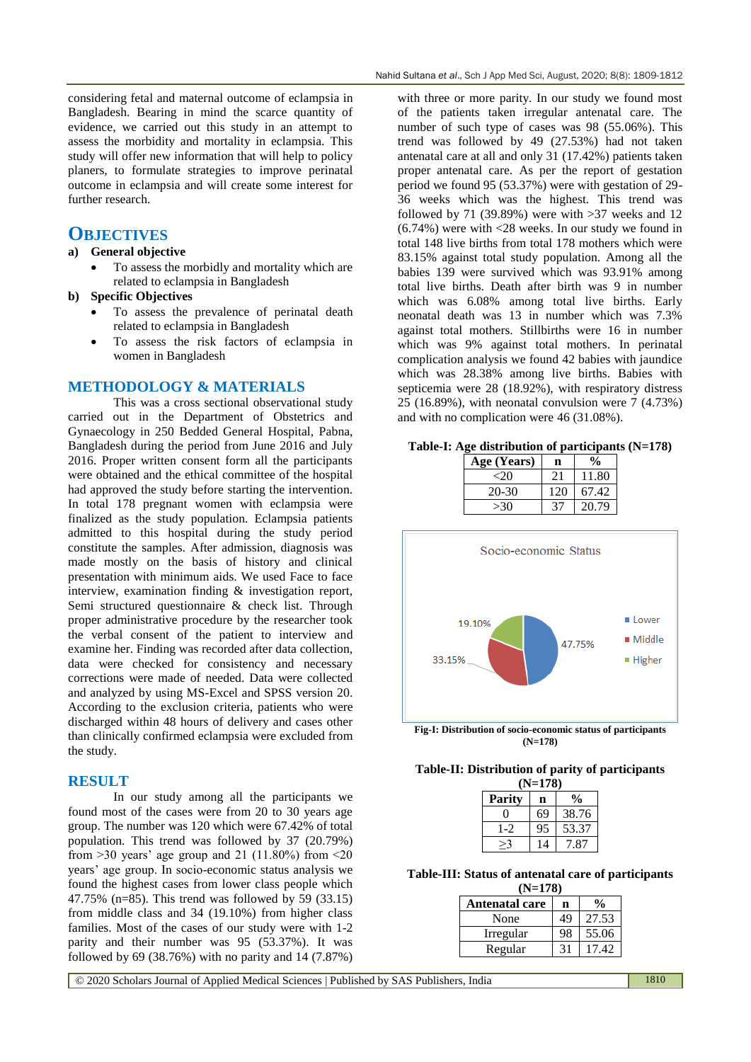considering fetal and maternal outcome of eclampsia in Bangladesh. Bearing in mind the scarce quantity of evidence, we carried out this study in an attempt to assess the morbidity and mortality in eclampsia. This study will offer new information that will help to policy planers, to formulate strategies to improve perinatal outcome in eclampsia and will create some interest for further research.

### **OBJECTIVES**

#### **a) General objective**

- To assess the morbidly and mortality which are related to eclampsia in Bangladesh
- **b) Specific Objectives**
	- To assess the prevalence of perinatal death related to eclampsia in Bangladesh
	- To assess the risk factors of eclampsia in women in Bangladesh

#### **METHODOLOGY & MATERIALS**

This was a cross sectional observational study carried out in the Department of Obstetrics and Gynaecology in 250 Bedded General Hospital, Pabna, Bangladesh during the period from June 2016 and July 2016. Proper written consent form all the participants were obtained and the ethical committee of the hospital had approved the study before starting the intervention. In total 178 pregnant women with eclampsia were finalized as the study population. Eclampsia patients admitted to this hospital during the study period constitute the samples. After admission, diagnosis was made mostly on the basis of history and clinical presentation with minimum aids. We used Face to face interview, examination finding & investigation report, Semi structured questionnaire & check list. Through proper administrative procedure by the researcher took the verbal consent of the patient to interview and examine her. Finding was recorded after data collection, data were checked for consistency and necessary corrections were made of needed. Data were collected and analyzed by using MS-Excel and SPSS version 20. According to the exclusion criteria, patients who were discharged within 48 hours of delivery and cases other than clinically confirmed eclampsia were excluded from the study.

#### **RESULT**

In our study among all the participants we found most of the cases were from 20 to 30 years age group. The number was 120 which were 67.42% of total population. This trend was followed by 37 (20.79%) from  $>30$  years' age group and 21 (11.80%) from  $\leq 20$ years' age group. In socio-economic status analysis we found the highest cases from lower class people which 47.75% (n=85). This trend was followed by 59 (33.15) from middle class and 34 (19.10%) from higher class families. Most of the cases of our study were with 1-2 parity and their number was 95 (53.37%). It was followed by 69 (38.76%) with no parity and 14 (7.87%)

with three or more parity. In our study we found most of the patients taken irregular antenatal care. The number of such type of cases was 98 (55.06%). This trend was followed by 49 (27.53%) had not taken antenatal care at all and only 31 (17.42%) patients taken proper antenatal care. As per the report of gestation period we found 95 (53.37%) were with gestation of 29- 36 weeks which was the highest. This trend was followed by 71 (39.89%) were with  $>37$  weeks and 12 (6.74%) were with <28 weeks. In our study we found in total 148 live births from total 178 mothers which were 83.15% against total study population. Among all the babies 139 were survived which was 93.91% among total live births. Death after birth was 9 in number which was 6.08% among total live births. Early neonatal death was 13 in number which was 7.3% against total mothers. Stillbirths were 16 in number which was 9% against total mothers. In perinatal complication analysis we found 42 babies with jaundice which was 28.38% among live births. Babies with septicemia were 28 (18.92%), with respiratory distress 25 (16.89%), with neonatal convulsion were 7 (4.73%) and with no complication were 46 (31.08%).

#### **Table-I: Age distribution of participants (N=178)**

| Age (Years) |     | $\frac{0}{\alpha}$ |
|-------------|-----|--------------------|
| ${<}20$     | 21  | 11.80              |
| $20 - 30$   | 120 | 67.42              |
| >30         | 37  | 20.79              |



**(N=178)**

#### **Table-II: Distribution of parity of participants**

| (N=178)       |    |               |  |
|---------------|----|---------------|--|
| <b>Parity</b> | n  | $\frac{0}{0}$ |  |
| $\Omega$      | 69 | 38.76         |  |
| 1-2           | 95 | 53.37         |  |
|               | 14 | 7.87          |  |

**Table-III: Status of antenatal care of participants (N=178)**

| Antenatal care | n  |       |
|----------------|----|-------|
| None           | 49 | 27.53 |
| Irregular      | 98 | 55.06 |
| Regular        | 31 | 17.42 |

© 2020 Scholars Journal of Applied Medical Sciences | Published by SAS Publishers, India 1810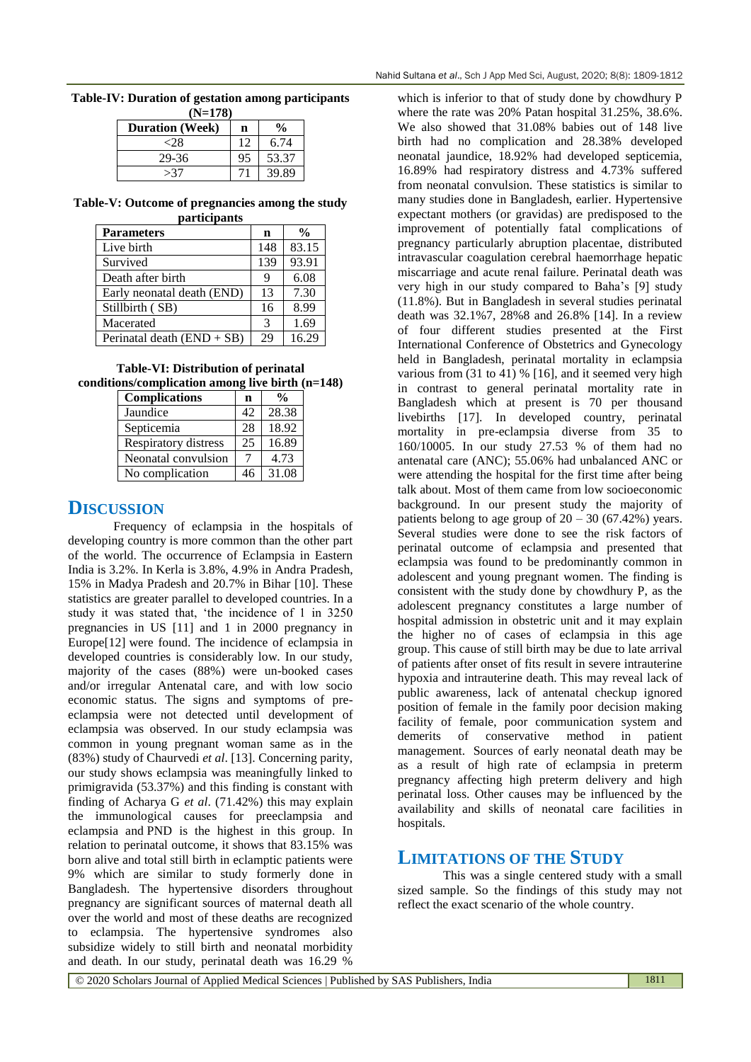| Table-IV: Duration of gestation among participants |
|----------------------------------------------------|
| $(N=178)$                                          |

| <b>Duration</b> (Week) | n | $\%$  |  |
|------------------------|---|-------|--|
| -28                    |   | 6.74  |  |
| 29-36                  |   | 53.37 |  |
| >37                    |   | 39.89 |  |

**Table-V: Outcome of pregnancies among the study participants**

| <b>Parameters</b>            | n             | $\frac{0}{0}$ |
|------------------------------|---------------|---------------|
| Live birth                   | 148           | 83.15         |
| Survived                     | 139           | 93.91         |
| Death after birth            | 9             | 6.08          |
| Early neonatal death (END)   | 13            | 7.30          |
| Stillbirth (SB)              | 16            | 8.99          |
| Macerated                    | $\mathcal{R}$ | 1.69          |
| Perinatal death $(END + SB)$ | 29            | 16.29         |

**Table-VI: Distribution of perinatal conditions/complication among live birth (n=148)**

| <b>Complications</b> | n  | $\frac{0}{0}$ |
|----------------------|----|---------------|
| Jaundice             | 42 | 28.38         |
| Septicemia           | 28 | 18.92         |
| Respiratory distress | 25 | 16.89         |
| Neonatal convulsion  |    | 4.73          |
| No complication      |    | 31.08         |

### **DISCUSSION**

Frequency of eclampsia in the hospitals of developing country is more common than the other part of the world. The occurrence of Eclampsia in Eastern India is 3.2%. In Kerla is 3.8%, 4.9% in Andra Pradesh, 15% in Madya Pradesh and 20.7% in Bihar [10]. These statistics are greater parallel to developed countries. In a study it was stated that, 'the incidence of 1 in 3250 pregnancies in US [11] and 1 in 2000 pregnancy in Europe[12] were found. The incidence of eclampsia in developed countries is considerably low. In our study, majority of the cases (88%) were un-booked cases and/or irregular Antenatal care, and with low socio economic status. The signs and symptoms of preeclampsia were not detected until development of eclampsia was observed. In our study eclampsia was common in young pregnant woman same as in the (83%) study of Chaurvedi *et al*. [13]. Concerning parity, our study shows eclampsia was meaningfully linked to primigravida (53.37%) and this finding is constant with finding of Acharya G *et al*. (71.42%) this may explain the immunological causes for preeclampsia and eclampsia and PND is the highest in this group. In relation to perinatal outcome, it shows that 83.15% was born alive and total still birth in eclamptic patients were 9% which are similar to study formerly done in Bangladesh. The hypertensive disorders throughout pregnancy are significant sources of maternal death all over the world and most of these deaths are recognized to eclampsia. The hypertensive syndromes also subsidize widely to still birth and neonatal morbidity and death. In our study, perinatal death was 16.29 %

which is inferior to that of study done by chowdhury P where the rate was 20% Patan hospital 31.25%, 38.6%. We also showed that 31.08% babies out of 148 live birth had no complication and 28.38% developed neonatal jaundice, 18.92% had developed septicemia, 16.89% had respiratory distress and 4.73% suffered from neonatal convulsion. These statistics is similar to many studies done in Bangladesh, earlier. Hypertensive expectant mothers (or gravidas) are predisposed to the improvement of potentially fatal complications of pregnancy particularly abruption placentae, distributed intravascular coagulation cerebral haemorrhage hepatic miscarriage and acute renal failure. Perinatal death was very high in our study compared to Baha's [9] study (11.8%). But in Bangladesh in several studies perinatal death was 32.1%7, 28%8 and 26.8% [14]. In a review of four different studies presented at the First International Conference of Obstetrics and Gynecology held in Bangladesh, perinatal mortality in eclampsia various from (31 to 41) % [16], and it seemed very high in contrast to general perinatal mortality rate in Bangladesh which at present is 70 per thousand livebirths [17]. In developed country, perinatal mortality in pre-eclampsia diverse from 35 to 160/10005. In our study 27.53 % of them had no antenatal care (ANC); 55.06% had unbalanced ANC or were attending the hospital for the first time after being talk about. Most of them came from low socioeconomic background. In our present study the majority of patients belong to age group of  $20 - 30$  (67.42%) years. Several studies were done to see the risk factors of perinatal outcome of eclampsia and presented that eclampsia was found to be predominantly common in adolescent and young pregnant women. The finding is consistent with the study done by chowdhury P, as the adolescent pregnancy constitutes a large number of hospital admission in obstetric unit and it may explain the higher no of cases of eclampsia in this age group. This cause of still birth may be due to late arrival of patients after onset of fits result in severe intrauterine hypoxia and intrauterine death. This may reveal lack of public awareness, lack of antenatal checkup ignored position of female in the family poor decision making facility of female, poor communication system and demerits of conservative method in patient management. Sources of early neonatal death may be as a result of high rate of eclampsia in preterm pregnancy affecting high preterm delivery and high perinatal loss. Other causes may be influenced by the availability and skills of neonatal care facilities in hospitals.

### **LIMITATIONS OF THE STUDY**

This was a single centered study with a small sized sample. So the findings of this study may not reflect the exact scenario of the whole country.